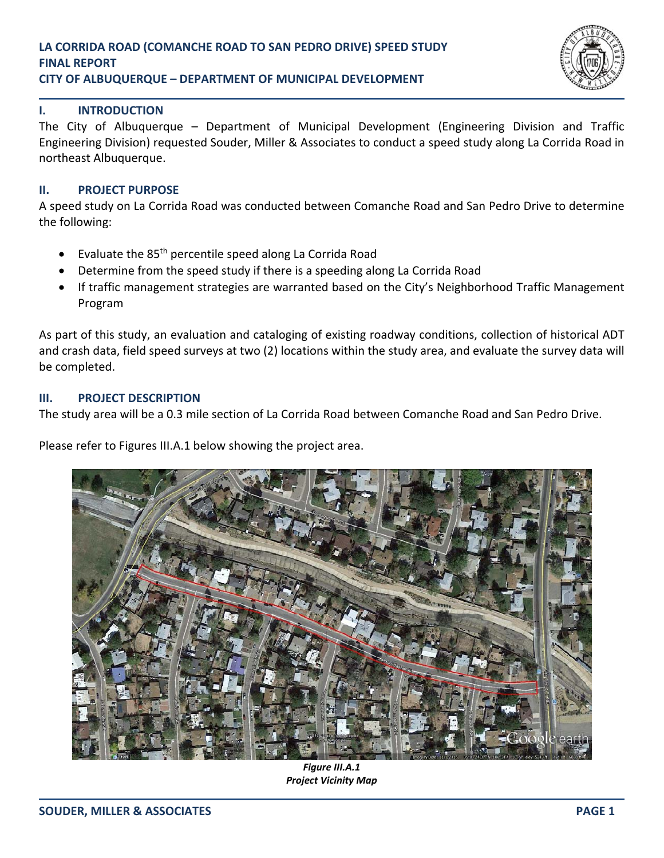

#### **I. INTRODUCTION**

The City of Albuquerque – Department of Municipal Development (Engineering Division and Traffic Engineering Division) requested Souder, Miller & Associates to conduct a speed study along La Corrida Road in northeast Albuquerque.

#### **II. PROJECT PURPOSE**

A speed study on La Corrida Road was conducted between Comanche Road and San Pedro Drive to determine the following:

- Evaluate the 85<sup>th</sup> percentile speed along La Corrida Road
- Determine from the speed study if there is a speeding along La Corrida Road
- If traffic management strategies are warranted based on the City's Neighborhood Traffic Management Program

As part of this study, an evaluation and cataloging of existing roadway conditions, collection of historical ADT and crash data, field speed surveys at two (2) locations within the study area, and evaluate the survey data will be completed.

#### **III. PROJECT DESCRIPTION**

The study area will be a 0.3 mile section of La Corrida Road between Comanche Road and San Pedro Drive.

Please refer to Figures III.A.1 below showing the project area.



*Figure III.A.1 Project Vicinity Map*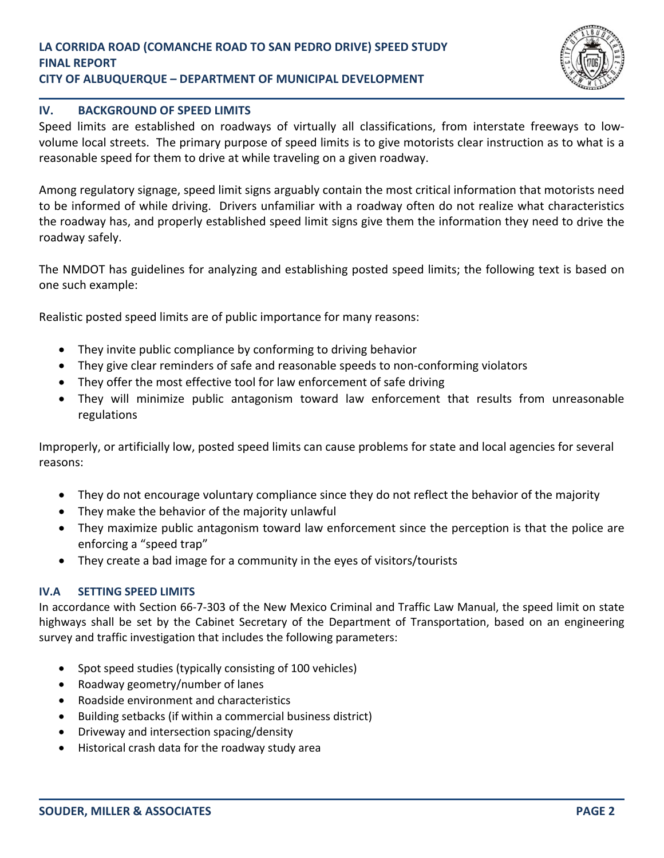

## **IV. BACKGROUND OF SPEED LIMITS**

Speed limits are established on roadways of virtually all classifications, from interstate freeways to low‐ volume local streets. The primary purpose of speed limits is to give motorists clear instruction as to what is a reasonable speed for them to drive at while traveling on a given roadway.

Among regulatory signage, speed limit signs arguably contain the most critical information that motorists need to be informed of while driving. Drivers unfamiliar with a roadway often do not realize what characteristics the roadway has, and properly established speed limit signs give them the information they need to drive the roadway safely.

The NMDOT has guidelines for analyzing and establishing posted speed limits; the following text is based on one such example:

Realistic posted speed limits are of public importance for many reasons:

- They invite public compliance by conforming to driving behavior
- They give clear reminders of safe and reasonable speeds to non‐conforming violators
- They offer the most effective tool for law enforcement of safe driving
- They will minimize public antagonism toward law enforcement that results from unreasonable regulations

Improperly, or artificially low, posted speed limits can cause problems for state and local agencies for several reasons:

- They do not encourage voluntary compliance since they do not reflect the behavior of the majority
- They make the behavior of the majority unlawful
- They maximize public antagonism toward law enforcement since the perception is that the police are enforcing a "speed trap"
- They create a bad image for a community in the eyes of visitors/tourists

## **IV.A SETTING SPEED LIMITS**

In accordance with Section 66‐7‐303 of the New Mexico Criminal and Traffic Law Manual, the speed limit on state highways shall be set by the Cabinet Secretary of the Department of Transportation, based on an engineering survey and traffic investigation that includes the following parameters:

- Spot speed studies (typically consisting of 100 vehicles)
- Roadway geometry/number of lanes
- Roadside environment and characteristics
- Building setbacks (if within a commercial business district)
- Driveway and intersection spacing/density
- Historical crash data for the roadway study area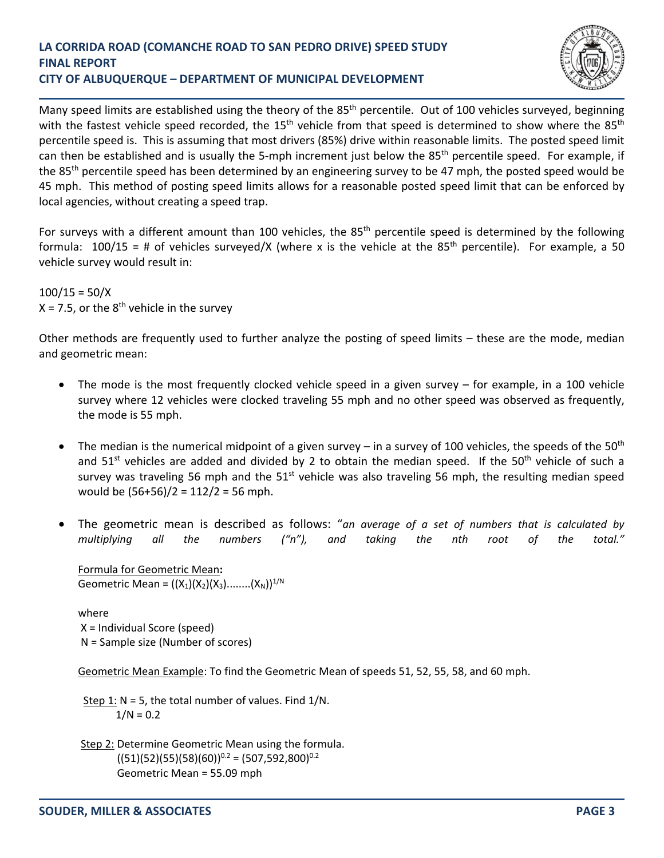

Many speed limits are established using the theory of the 85<sup>th</sup> percentile. Out of 100 vehicles surveyed, beginning with the fastest vehicle speed recorded, the 15<sup>th</sup> vehicle from that speed is determined to show where the 85<sup>th</sup> percentile speed is. This is assuming that most drivers (85%) drive within reasonable limits. The posted speed limit can then be established and is usually the 5-mph increment just below the 85<sup>th</sup> percentile speed. For example, if the 85th percentile speed has been determined by an engineering survey to be 47 mph, the posted speed would be 45 mph. This method of posting speed limits allows for a reasonable posted speed limit that can be enforced by local agencies, without creating a speed trap.

For surveys with a different amount than 100 vehicles, the  $85<sup>th</sup>$  percentile speed is determined by the following formula:  $100/15 = #$  of vehicles surveyed/X (where x is the vehicle at the 85<sup>th</sup> percentile). For example, a 50 vehicle survey would result in:

 $100/15 = 50/X$  $X = 7.5$ , or the  $8<sup>th</sup>$  vehicle in the survey

Other methods are frequently used to further analyze the posting of speed limits – these are the mode, median and geometric mean:

- The mode is the most frequently clocked vehicle speed in a given survey  $-$  for example, in a 100 vehicle survey where 12 vehicles were clocked traveling 55 mph and no other speed was observed as frequently, the mode is 55 mph.
- The median is the numerical midpoint of a given survey in a survey of 100 vehicles, the speeds of the 50<sup>th</sup> and  $51<sup>st</sup>$  vehicles are added and divided by 2 to obtain the median speed. If the  $50<sup>th</sup>$  vehicle of such a survey was traveling 56 mph and the  $51<sup>st</sup>$  vehicle was also traveling 56 mph, the resulting median speed would be (56+56)/2 = 112/2 = 56 mph.
- The geometric mean is described as follows: "*an average of a set of numbers that is calculated by multiplying all the numbers ("n"), and taking the nth root of the total."*

Formula for Geometric Mean**:** Geometric Mean =  $((X_1)(X_2)(X_3)$ ........ $(X_N))^{1/N}$ 

where X = Individual Score (speed) N = Sample size (Number of scores)

Geometric Mean Example: To find the Geometric Mean of speeds 51, 52, 55, 58, and 60 mph.

Step 1:  $N = 5$ , the total number of values. Find  $1/N$ .  $1/N = 0.2$ 

Step 2: Determine Geometric Mean using the formula.  $((51)(52)(55)(58)(60))^{0.2} = (507,592,800)^{0.2}$ Geometric Mean = 55.09 mph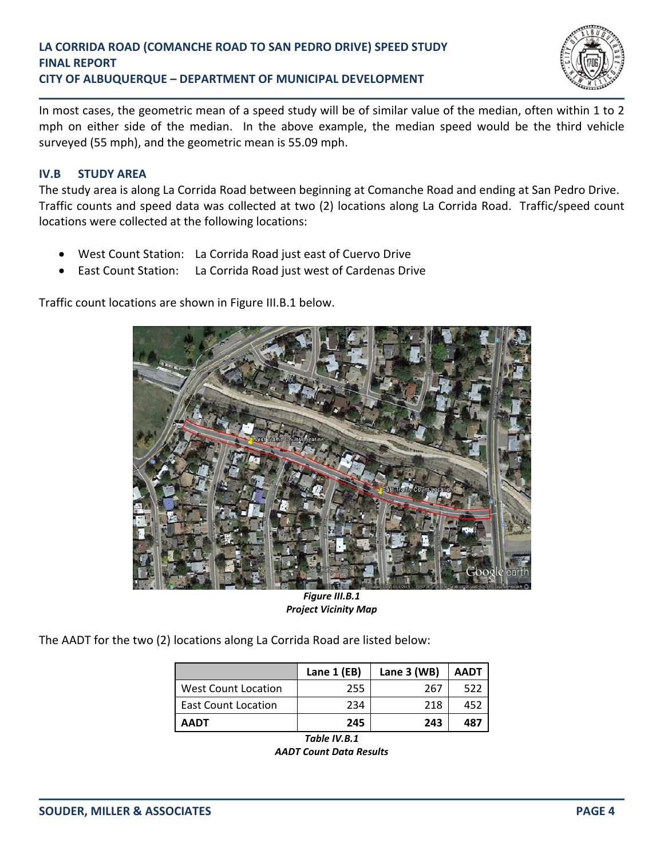

In most cases, the geometric mean of a speed study will be of similar value of the median, often within 1 to 2 mph on either side of the median. In the above example, the median speed would be the third vehicle surveyed (55 mph), and the geometric mean is 55.09 mph.

# **IV.B STUDY AREA**

The study area is along La Corrida Road between beginning at Comanche Road and ending at San Pedro Drive. Traffic counts and speed data was collected at two (2) locations along La Corrida Road. Traffic/speed count locations were collected at the following locations:

- West Count Station: La Corrida Road just east of Cuervo Drive
- East Count Station: La Corrida Road just west of Cardenas Drive

Traffic count locations are shown in Figure III.B.1 below.



*Figure III.B.1 Project Vicinity Map*

The AADT for the two (2) locations along La Corrida Road are listed below:

|                            | Lane 1 (EB) | Lane $3$ (WB) | <b>AADT</b> |
|----------------------------|-------------|---------------|-------------|
| <b>West Count Location</b> | 255         | 267           | 522         |
| <b>East Count Location</b> | 234         | 218           | 452         |
| <b>AADT</b>                | 245         | 243           | 487         |

*Table IV.B.1 AADT Count Data Results*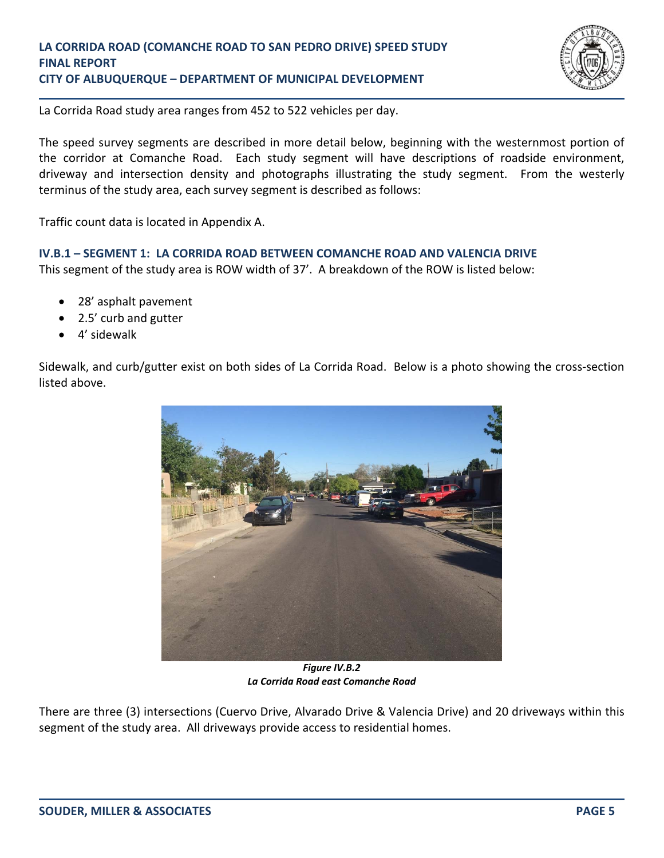

La Corrida Road study area ranges from 452 to 522 vehicles per day.

The speed survey segments are described in more detail below, beginning with the westernmost portion of the corridor at Comanche Road. Each study segment will have descriptions of roadside environment, driveway and intersection density and photographs illustrating the study segment. From the westerly terminus of the study area, each survey segment is described as follows:

Traffic count data is located in Appendix A.

**IV.B.1 – SEGMENT 1: LA CORRIDA ROAD BETWEEN COMANCHE ROAD AND VALENCIA DRIVE**

This segment of the study area is ROW width of 37'. A breakdown of the ROW is listed below:

- 28' asphalt pavement
- 2.5' curb and gutter
- 4' sidewalk

Sidewalk, and curb/gutter exist on both sides of La Corrida Road. Below is a photo showing the cross‐section listed above.



*Figure IV.B.2 La Corrida Road east Comanche Road*

There are three (3) intersections (Cuervo Drive, Alvarado Drive & Valencia Drive) and 20 driveways within this segment of the study area. All driveways provide access to residential homes.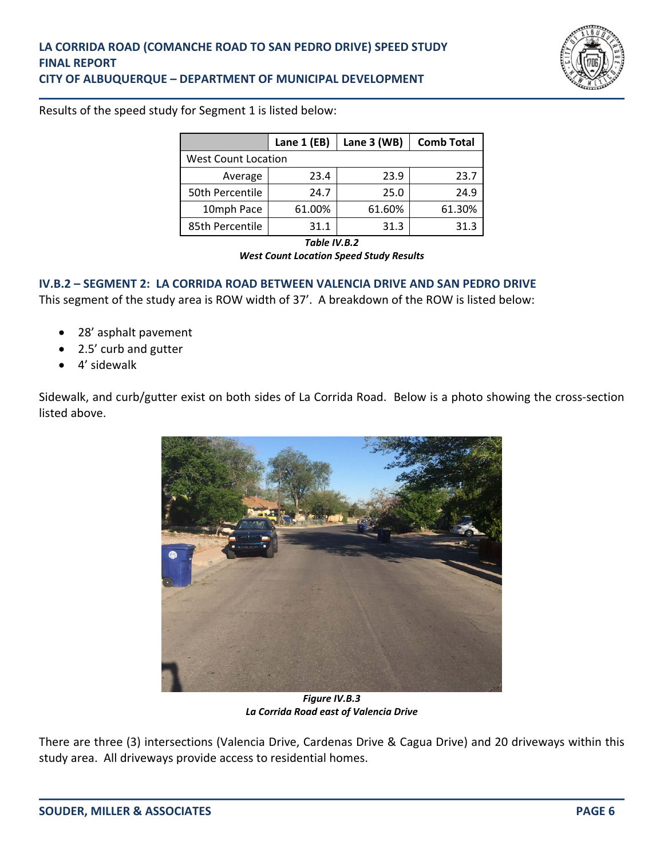

Results of the speed study for Segment 1 is listed below:

|                            | Lane 1 (EB) | Lane 3 (WB) | <b>Comb Total</b> |
|----------------------------|-------------|-------------|-------------------|
| <b>West Count Location</b> |             |             |                   |
| Average                    | 23.4        | 23.9        | 23.7              |
| 50th Percentile            | 24.7        | 25.0        | 24.9              |
| 10mph Pace                 | 61.00%      | 61.60%      | 61.30%            |
| 85th Percentile            | 31.1        | 31.3        | 31.3              |

*Table IV.B.2*

*West Count Location Speed Study Results*

#### **IV.B.2 – SEGMENT 2: LA CORRIDA ROAD BETWEEN VALENCIA DRIVE AND SAN PEDRO DRIVE**

This segment of the study area is ROW width of 37'. A breakdown of the ROW is listed below:

- 28' asphalt pavement
- 2.5' curb and gutter
- 4' sidewalk

Sidewalk, and curb/gutter exist on both sides of La Corrida Road. Below is a photo showing the cross‐section listed above.



*Figure IV.B.3 La Corrida Road east of Valencia Drive*

There are three (3) intersections (Valencia Drive, Cardenas Drive & Cagua Drive) and 20 driveways within this study area. All driveways provide access to residential homes.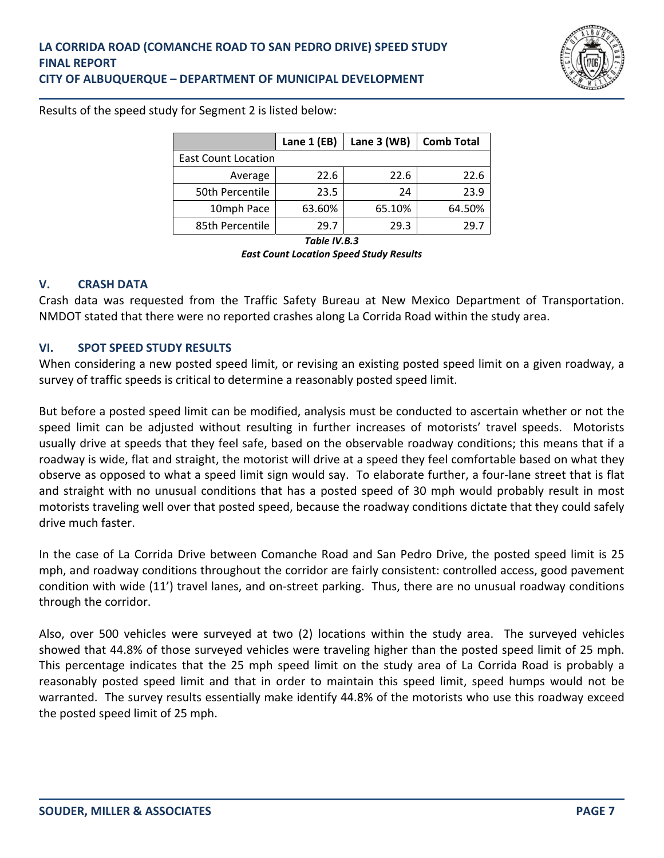

Results of the speed study for Segment 2 is listed below:

|                            | Lane 1 (EB) | Lane 3 (WB) | <b>Comb Total</b> |
|----------------------------|-------------|-------------|-------------------|
| <b>East Count Location</b> |             |             |                   |
| Average                    | 22.6        | 22.6        | 22.6              |
| 50th Percentile            | 23.5        | 24          | 23.9              |
| 10mph Pace                 | 63.60%      | 65.10%      | 64.50%            |
| 85th Percentile            | 29 7        | 29.3        | 29.7              |

*Table IV.B.3*

*East Count Location Speed Study Results*

#### **V. CRASH DATA**

Crash data was requested from the Traffic Safety Bureau at New Mexico Department of Transportation. NMDOT stated that there were no reported crashes along La Corrida Road within the study area.

## **VI. SPOT SPEED STUDY RESULTS**

When considering a new posted speed limit, or revising an existing posted speed limit on a given roadway, a survey of traffic speeds is critical to determine a reasonably posted speed limit.

But before a posted speed limit can be modified, analysis must be conducted to ascertain whether or not the speed limit can be adjusted without resulting in further increases of motorists' travel speeds. Motorists usually drive at speeds that they feel safe, based on the observable roadway conditions; this means that if a roadway is wide, flat and straight, the motorist will drive at a speed they feel comfortable based on what they observe as opposed to what a speed limit sign would say. To elaborate further, a four‐lane street that is flat and straight with no unusual conditions that has a posted speed of 30 mph would probably result in most motorists traveling well over that posted speed, because the roadway conditions dictate that they could safely drive much faster.

In the case of La Corrida Drive between Comanche Road and San Pedro Drive, the posted speed limit is 25 mph, and roadway conditions throughout the corridor are fairly consistent: controlled access, good pavement condition with wide (11') travel lanes, and on‐street parking. Thus, there are no unusual roadway conditions through the corridor.

Also, over 500 vehicles were surveyed at two (2) locations within the study area. The surveyed vehicles showed that 44.8% of those surveyed vehicles were traveling higher than the posted speed limit of 25 mph. This percentage indicates that the 25 mph speed limit on the study area of La Corrida Road is probably a reasonably posted speed limit and that in order to maintain this speed limit, speed humps would not be warranted. The survey results essentially make identify 44.8% of the motorists who use this roadway exceed the posted speed limit of 25 mph.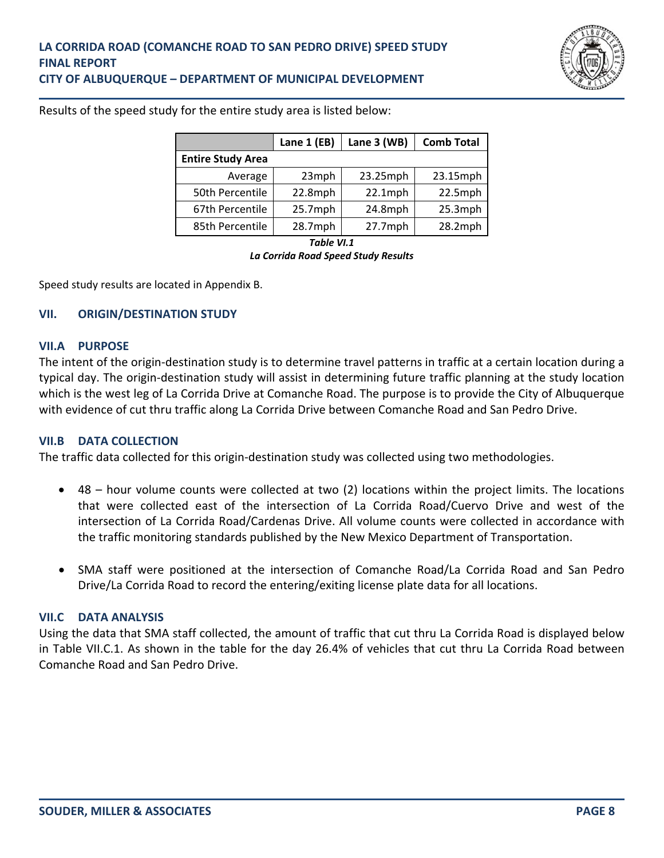

|                          | Lane 1 (EB) | Lane 3 (WB) | <b>Comb Total</b> |
|--------------------------|-------------|-------------|-------------------|
| <b>Entire Study Area</b> |             |             |                   |
| Average                  | 23mph       | 23.25mph    | 23.15mph          |
| 50th Percentile          | 22.8mph     | $22.1$ mph  | 22.5mph           |
| 67th Percentile          | $25.7$ mph  | 24.8mph     | $25.3$ mph        |
| 85th Percentile          | 28.7mph     | $27.7$ mph  | 28.2mph           |

*Table VI.1*

*La Corrida Road Speed Study Results*

Speed study results are located in Appendix B.

# **VII. ORIGIN/DESTINATION STUDY**

#### **VII.A PURPOSE**

The intent of the origin‐destination study is to determine travel patterns in traffic at a certain location during a typical day. The origin‐destination study will assist in determining future traffic planning at the study location which is the west leg of La Corrida Drive at Comanche Road. The purpose is to provide the City of Albuquerque with evidence of cut thru traffic along La Corrida Drive between Comanche Road and San Pedro Drive.

## **VII.B DATA COLLECTION**

The traffic data collected for this origin‐destination study was collected using two methodologies.

- 48 hour volume counts were collected at two (2) locations within the project limits. The locations that were collected east of the intersection of La Corrida Road/Cuervo Drive and west of the intersection of La Corrida Road/Cardenas Drive. All volume counts were collected in accordance with the traffic monitoring standards published by the New Mexico Department of Transportation.
- SMA staff were positioned at the intersection of Comanche Road/La Corrida Road and San Pedro Drive/La Corrida Road to record the entering/exiting license plate data for all locations.

## **VII.C DATA ANALYSIS**

Using the data that SMA staff collected, the amount of traffic that cut thru La Corrida Road is displayed below in Table VII.C.1. As shown in the table for the day 26.4% of vehicles that cut thru La Corrida Road between Comanche Road and San Pedro Drive.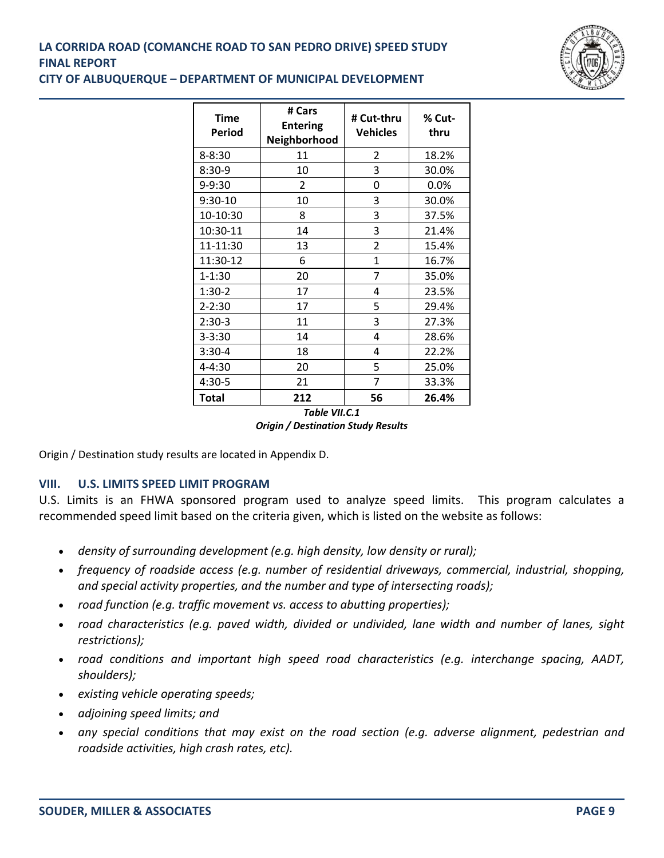

| <b>Time</b><br><b>Period</b> | # Cars<br><b>Entering</b><br>Neighborhood | # Cut-thru<br><b>Vehicles</b> | % Cut-<br>thru |
|------------------------------|-------------------------------------------|-------------------------------|----------------|
| 8-8:30                       | 11                                        | 2                             | 18.2%          |
| $8:30-9$                     | 10                                        | 3                             | 30.0%          |
| 9-9:30                       | 2                                         | 0                             | 0.0%           |
| $9:30-10$                    | 10                                        | 3                             | 30.0%          |
| 10-10:30                     | 8                                         | 3                             | 37.5%          |
| 10:30-11                     | 14                                        | 3                             | 21.4%          |
| 11-11:30                     | 13                                        | $\overline{2}$                | 15.4%          |
| 11:30-12                     | 6                                         | 1                             | 16.7%          |
| $1 - 1:30$                   | 20                                        | 7                             | 35.0%          |
| $1:30-2$                     | 17                                        | 4                             | 23.5%          |
| $2 - 2:30$                   | 17                                        | 5                             | 29.4%          |
| $2:30-3$                     | 11                                        | 3                             | 27.3%          |
| $3 - 3:30$                   | 14                                        | 4                             | 28.6%          |
| $3:30-4$                     | 18                                        | 4                             | 22.2%          |
| 4-4:30                       | 20                                        | 5                             | 25.0%          |
| 4:30-5                       | 21                                        | 7                             | 33.3%          |
| <b>Total</b>                 | 212                                       | 56                            | 26.4%          |

*Table VII.C.1 Origin / Destination Study Results*

Origin / Destination study results are located in Appendix D.

## **VIII. U.S. LIMITS SPEED LIMIT PROGRAM**

U.S. Limits is an FHWA sponsored program used to analyze speed limits. This program calculates a recommended speed limit based on the criteria given, which is listed on the website as follows:

- *density of surrounding development (e.g. high density, low density or rural);*
- *frequency of roadside access (e.g. number of residential driveways, commercial, industrial, shopping, and special activity properties, and the number and type of intersecting roads);*
- *road function (e.g. traffic movement vs. access to abutting properties);*
- *road characteristics (e.g. paved width, divided or undivided, lane width and number of lanes, sight restrictions);*
- *road conditions and important high speed road characteristics (e.g. interchange spacing, AADT, shoulders);*
- *existing vehicle operating speeds;*
- *adjoining speed limits; and*
- *any special conditions that may exist on the road section (e.g. adverse alignment, pedestrian and roadside activities, high crash rates, etc).*